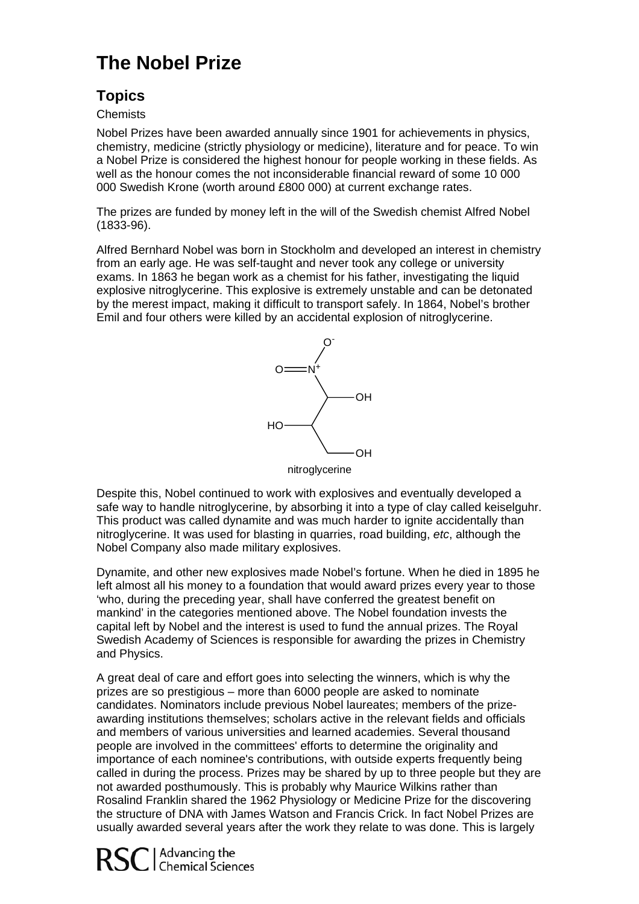# **The Nobel Prize**

## **Topics**

#### **Chemists**

a Nobel Prize is considered the highest honour for people working in these fields. As well as the honour comes the not inconsiderable financial reward of some 10 000 Nobel Prizes have been awarded annually since 1901 for achievements in physics, chemistry, medicine (strictly physiology or medicine), literature and for peace. To win 000 Swedish Krone (worth around £800 000) at current exchange rates.

The prizes are funded by money left in the will of the Swedish chemist Alfred Nobel (1833-96).

Alfred Bernhard Nobel was born in Stockholm and developed an interest in chemistry by the merest impact, making it difficult to transport safely. In 1864, Nobel's brother Emil and four others were killed by an accidental explosion of nitroglycerine. from an early age. He was self-taught and never took any college or university exams. In 1863 he began work as a chemist for his father, investigating the liquid explosive nitroglycerine. This explosive is extremely unstable and can be detonated



Despite this, Nobel continued to work with explosives and eventually developed a safe way to handle nitroglycerine, by absorbing it into a type of clay called keiselguhr. This product was called dynamite and was much harder to ignite accidentally than nitroglycerine. It was used for blasting in quarries, road building, *etc*, although the Nobel Company also made military explosives.

left almost all his money to a foundation that would award prizes every year to those Swedish Academy of Sciences is responsible for awarding the prizes in Chemistry Dynamite, and other new explosives made Nobel's fortune. When he died in 1895 he 'who, during the preceding year, shall have conferred the greatest benefit on mankind' in the categories mentioned above. The Nobel foundation invests the capital left by Nobel and the interest is used to fund the annual prizes. The Royal and Physics.

awarding institutions themselves; scholars active in the relevant fields and officials A great deal of care and effort goes into selecting the winners, which is why the prizes are so prestigious – more than 6000 people are asked to nominate candidates. Nominators include previous Nobel laureates; members of the prizeand members of various universities and learned academies. Several thousand people are involved in the committees' efforts to determine the originality and importance of each nominee's contributions, with outside experts frequently being called in during the process. Prizes may be shared by up to three people but they are not awarded posthumously. This is probably why Maurice Wilkins rather than Rosalind Franklin shared the 1962 Physiology or Medicine Prize for the discovering the structure of DNA with James Watson and Francis Crick. In fact Nobel Prizes are usually awarded several years after the work they relate to was done. This is largely

RSC | Advancing the<br>RSC | Chemical Sciences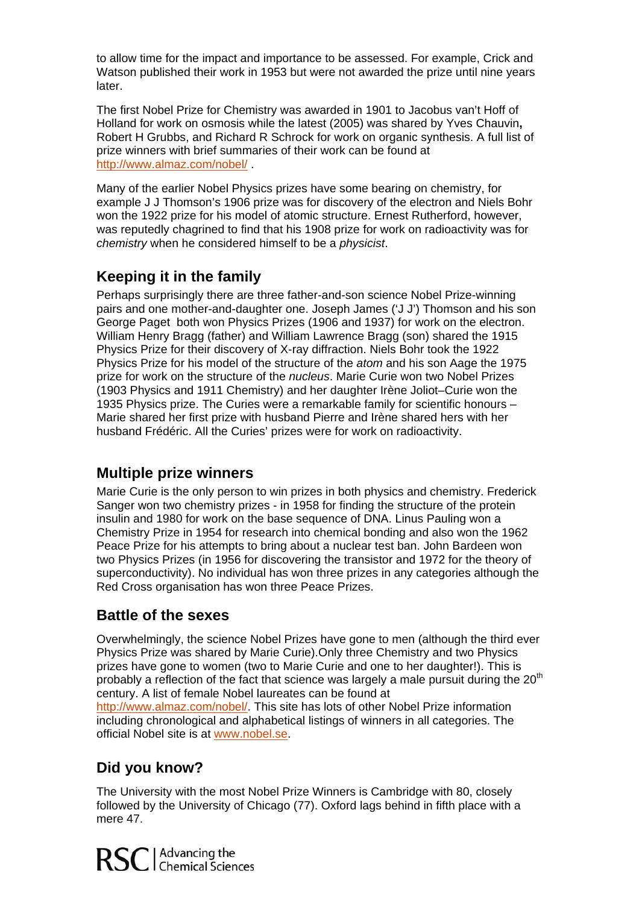to allow time for the impact and importance to be assessed. For example, Crick and Watson published their work in 1953 but were not awarded the prize until nine years later.

Holland for work on osmosis while the latest (2005) was shared by Yves Chauvin, Robert H Grubbs, and [Richard R](http://almaz.com/nobel/chemistry/2005a.html) Schrock for work on organic synthesis. A full list of The first Nobel Prize for Chemistry was awarded in 1901 to Jacobus van't Hoff of prize winners with brief summaries of their work can be found at http://www.almaz.com/nobel/ .

Many of the earlier Nobel Physics prizes have some bearing on chemistry, for example J J Thomson's 1906 prize was for discovery of the electron and Niels Bohr won the 1922 prize for his model of atomic structure. Ernest Rutherford, however, was reputedly chagrined to find that his 1908 prize for work on radioactivity was for chemistry when he considered himself to be a *physicist*.

## **Keeping it in the family**

pairs and one mother-and-daughter one. Joseph James ('J J') Thomson and his son 1935 Physics prize. The Curies were a remarkable family for scientific honours -Marie shared her first prize with husband Pierre and Irène shared hers with her husband Frédéric. All the Curies' prizes were for work on radioactivity. Perhaps surprisingly there are three father-and-son science Nobel Prize-winning George Paget both won Physics Prizes (1906 and 1937) for work on the electron. William Henry Bragg (father) and William Lawrence Bragg (son) shared the 1915 Physics Prize for their discovery of X-ray diffraction. Niels Bohr took the 1922 Physics Prize for his model of the structure of the *atom* and his son Aage the 1975 prize for work on the structure of the *nucleus*. Marie Curie won two Nobel Prizes (1903 Physics and 1911 Chemistry) and her daughter Irène Joliot–Curie won the

### **Multiple prize winners**

two Physics Prizes (in 1956 for discovering the transistor and 1972 for the theory of superconductivity). No individual has won three prizes in any categories although the Red Cross organisation has won three Peace Prizes. Marie Curie is the only person to win prizes in both physics and chemistry. Frederick Sanger won two chemistry prizes - in 1958 for finding the structure of the protein insulin and 1980 for work on the base sequence of DNA. Linus Pauling won a Chemistry Prize in 1954 for research into chemical bonding and also won the 1962 Peace Prize for his attempts to bring about a nuclear test ban. John Bardeen won

## **Battle of the sexes**

probably a reflection of the fact that science was largely a male pursuit during the 20<sup>th</sup> Overwhelmingly, the science Nobel Prizes have gone to men (although the third ever Physics Prize was shared by Marie Curie).Only three Chemistry and two Physics prizes have gone to women (two to Marie Curie and one to her daughter!). This is century. A list of female Nobel laureates can be found at

[http://www.almaz.com/nobel/.](http://www.almaz.com/nobel/) This site has lots of other Nobel Prize information including chronological and alphabetical listings of winners in all categories. The official Nobel site is at www.nobel.se.

## **Did you know?**

The University with the most Nobel Prize Winners is Cambridge with 80, closely followed by the University of Chicago (77). Oxford lags behind in fifth place with a mere 47.

RSC | Advancing the<br>
RSC | Chemical Sciences